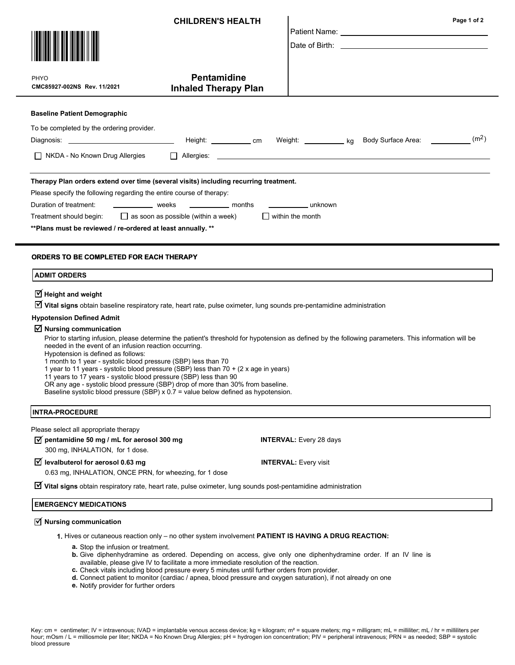|                                                                                                                                                                                                                                                                                                                                                                                                                                                                                                                                                                                                                                                                                                                | <b>CHILDREN'S HEALTH</b>    |                                | Page 1 of 2                                                                                                                                                                                                                    |
|----------------------------------------------------------------------------------------------------------------------------------------------------------------------------------------------------------------------------------------------------------------------------------------------------------------------------------------------------------------------------------------------------------------------------------------------------------------------------------------------------------------------------------------------------------------------------------------------------------------------------------------------------------------------------------------------------------------|-----------------------------|--------------------------------|--------------------------------------------------------------------------------------------------------------------------------------------------------------------------------------------------------------------------------|
|                                                                                                                                                                                                                                                                                                                                                                                                                                                                                                                                                                                                                                                                                                                |                             |                                |                                                                                                                                                                                                                                |
|                                                                                                                                                                                                                                                                                                                                                                                                                                                                                                                                                                                                                                                                                                                |                             |                                | Date of Birth: the contract of the contract of the contract of the contract of the contract of the contract of the contract of the contract of the contract of the contract of the contract of the contract of the contract of |
| PHYO                                                                                                                                                                                                                                                                                                                                                                                                                                                                                                                                                                                                                                                                                                           | <b>Pentamidine</b>          |                                |                                                                                                                                                                                                                                |
| CMC85927-002NS Rev. 11/2021                                                                                                                                                                                                                                                                                                                                                                                                                                                                                                                                                                                                                                                                                    | <b>Inhaled Therapy Plan</b> |                                |                                                                                                                                                                                                                                |
| <b>Baseline Patient Demographic</b>                                                                                                                                                                                                                                                                                                                                                                                                                                                                                                                                                                                                                                                                            |                             |                                |                                                                                                                                                                                                                                |
| To be completed by the ordering provider.                                                                                                                                                                                                                                                                                                                                                                                                                                                                                                                                                                                                                                                                      |                             |                                | Weight: ____________ kg Body Surface Area: ___________ (m <sup>2</sup> )                                                                                                                                                       |
| $\Box$ NKDA - No Known Drug Allergies                                                                                                                                                                                                                                                                                                                                                                                                                                                                                                                                                                                                                                                                          |                             |                                |                                                                                                                                                                                                                                |
| Therapy Plan orders extend over time (several visits) including recurring treatment.<br>Please specify the following regarding the entire course of therapy:<br>Duration of treatment:<br>weeks<br>_____________ months<br>_________________ unknown<br>Treatment should begin: $\Box$ as soon as possible (within a week)<br>$\Box$ within the month<br>** Plans must be reviewed / re-ordered at least annually. **                                                                                                                                                                                                                                                                                          |                             |                                |                                                                                                                                                                                                                                |
| ORDERS TO BE COMPLETED FOR EACH THERAPY<br><b>ADMIT ORDERS</b>                                                                                                                                                                                                                                                                                                                                                                                                                                                                                                                                                                                                                                                 |                             |                                |                                                                                                                                                                                                                                |
| $\overline{\mathbf{y}}$ Height and weight<br>■ Vital signs obtain baseline respiratory rate, heart rate, pulse oximeter, lung sounds pre-pentamidine administration                                                                                                                                                                                                                                                                                                                                                                                                                                                                                                                                            |                             |                                |                                                                                                                                                                                                                                |
| <b>Hypotension Defined Admit</b>                                                                                                                                                                                                                                                                                                                                                                                                                                                                                                                                                                                                                                                                               |                             |                                |                                                                                                                                                                                                                                |
| $\overline{\mathbf{y}}$ Nursing communication<br>Prior to starting infusion, please determine the patient's threshold for hypotension as defined by the following parameters. This information will be<br>needed in the event of an infusion reaction occurring.<br>Hypotension is defined as follows:<br>1 month to 1 year - systolic blood pressure (SBP) less than 70<br>1 year to 11 years - systolic blood pressure (SBP) less than 70 + (2 x age in years)<br>11 years to 17 years - systolic blood pressure (SBP) less than 90<br>OR any age - systolic blood pressure (SBP) drop of more than 30% from baseline.<br>Baseline systolic blood pressure (SBP) x 0.7 = value below defined as hypotension. |                             |                                |                                                                                                                                                                                                                                |
| <b>INTRA-PROCEDURE</b>                                                                                                                                                                                                                                                                                                                                                                                                                                                                                                                                                                                                                                                                                         |                             |                                |                                                                                                                                                                                                                                |
| Please select all appropriate therapy<br>$\overrightarrow{v}$ pentamidine 50 mg / mL for aerosol 300 mg<br>300 mg, INHALATION, for 1 dose.                                                                                                                                                                                                                                                                                                                                                                                                                                                                                                                                                                     |                             | <b>INTERVAL:</b> Every 28 days |                                                                                                                                                                                                                                |
| $\triangledown$ levalbuterol for aerosol 0.63 mg<br>0.63 mg, INHALATION, ONCE PRN, for wheezing, for 1 dose                                                                                                                                                                                                                                                                                                                                                                                                                                                                                                                                                                                                    |                             | <b>INTERVAL: Every visit</b>   |                                                                                                                                                                                                                                |
| $\triangledown$ Vital signs obtain respiratory rate, heart rate, pulse oximeter, lung sounds post-pentamidine administration                                                                                                                                                                                                                                                                                                                                                                                                                                                                                                                                                                                   |                             |                                |                                                                                                                                                                                                                                |
| <b>EMERGENCY MEDICATIONS</b>                                                                                                                                                                                                                                                                                                                                                                                                                                                                                                                                                                                                                                                                                   |                             |                                |                                                                                                                                                                                                                                |

# $\overline{\trianglelefteq}$  Nursing communication

1. Hives or cutaneous reaction only – no other system involvement PATIENT IS HAVING A DRUG REACTION:

- a. Stop the infusion or treatment.
- **b.** Give diphenhydramine as ordered. Depending on access, give only one diphenhydramine order. If an IV line is available, please give IV to facilitate a more immediate resolution of the reaction.
- c. Check vitals including blood pressure every 5 minutes until further orders from provider.
- d. Connect patient to monitor (cardiac / apnea, blood pressure and oxygen saturation), if not already on one
- e. Notify provider for further orders